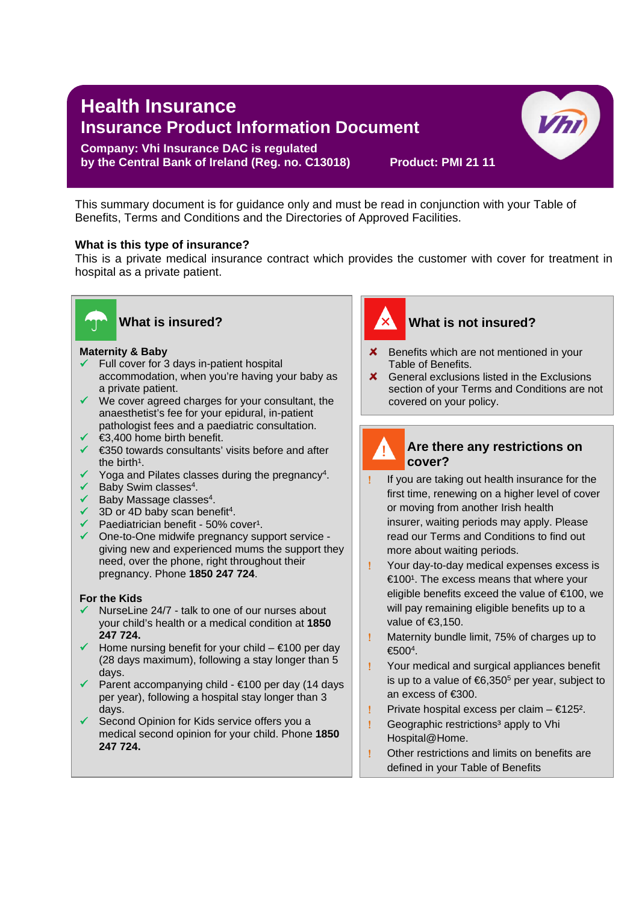# **Health Insurance Insurance Product Information Document**

#### **Company: Vhi Insurance DAC is regulated by the Central Bank of Ireland (Reg. no. C13018) Product: PMI 21 11**

This summary document is for guidance only and must be read in conjunction with your Table of Benefits, Terms and Conditions and the Directories of Approved Facilities.

#### **What is this type of insurance?**

This is a private medical insurance contract which provides the customer with cover for treatment in hospital as a private patient.

l



## **What is insured?**

## **Maternity & Baby**

- $\checkmark$  Full cover for 3 days in-patient hospital accommodation, when you're having your baby as a private patient.
- $\checkmark$  We cover agreed charges for your consultant, the anaesthetist's fee for your epidural, in-patient pathologist fees and a paediatric consultation.
- $\checkmark$   $\in$ 3,400 home birth benefit.
- €350 towards consultants' visits before and after the birth $<sup>1</sup>$ .</sup>
- $\checkmark$  Yoga and Pilates classes during the pregnancy<sup>4</sup>.
- $\checkmark$  Baby Swim classes<sup>4</sup>.
- $\checkmark$  Baby Massage classes<sup>4</sup>.
- $\checkmark$  3D or 4D baby scan benefit<sup>4</sup>.
- $\checkmark$  Paediatrician benefit 50% cover<sup>1</sup>.
- One-to-One midwife pregnancy support service giving new and experienced mums the support they need, over the phone, right throughout their pregnancy. Phone **1850 247 724**.

#### **For the Kids**

- NurseLine 24/7 talk to one of our nurses about your child's health or a medical condition at **1850 247 724.**
- $\checkmark$  Home nursing benefit for your child  $\in$ 100 per day (28 days maximum), following a stay longer than 5 days.
- Parent accompanying child €100 per day (14 days per year), following a hospital stay longer than 3 days.
- $\checkmark$  Second Opinion for Kids service offers you a medical second opinion for your child. Phone **1850 247 724.**



## **What is not insured?**

 $V<sub>h</sub>$ 

- $\boldsymbol{\times}$  Benefits which are not mentioned in your Table of Benefits.
- $\boldsymbol{\times}$  General exclusions listed in the Exclusions section of your Terms and Conditions are not covered on your policy.



## **Are there any restrictions on cover?**

- If you are taking out health insurance for the first time, renewing on a higher level of cover or moving from another Irish health insurer, waiting periods may apply. Please read our Terms and Conditions to find out more about waiting periods.
- ! Your day-to-day medical expenses excess is  $€100<sup>1</sup>$ . The excess means that where your eligible benefits exceed the value of €100, we will pay remaining eligible benefits up to a value of €3,150.
- ! Maternity bundle limit, 75% of charges up to  $€500<sup>4</sup>$ .
- ! Your medical and surgical appliances benefit is up to a value of  $6,350^5$  per year, subject to an excess of €300.
- ! Private hospital excess per claim €125².
- ! Geographic restrictions<sup>3</sup> apply to Vhi Hospital@Home.
- ! Other restrictions and limits on benefits are defined in your Table of Benefits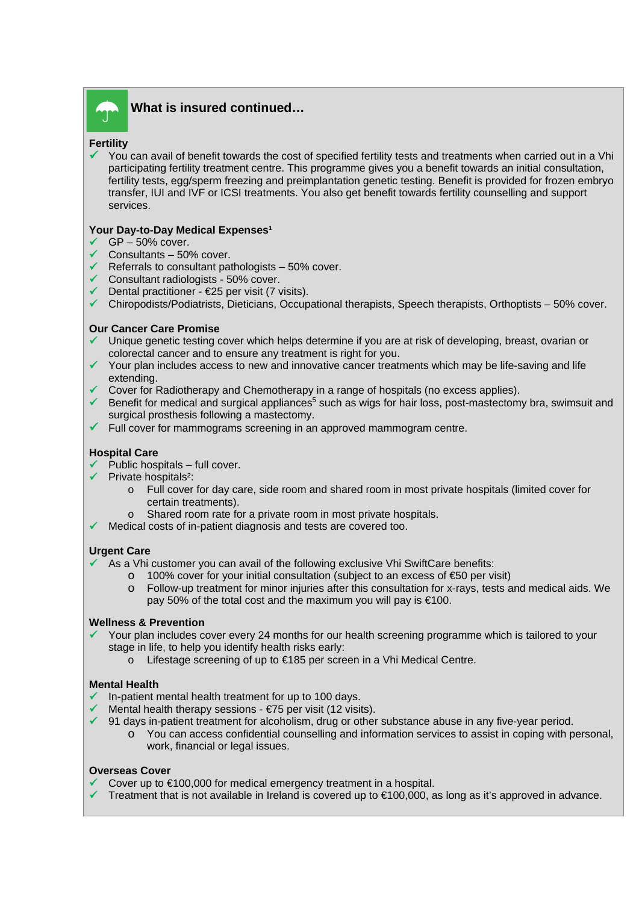

### **What is insured continued…**

#### **Fertility**

 You can avail of benefit towards the cost of specified fertility tests and treatments when carried out in a Vhi participating fertility treatment centre. This programme gives you a benefit towards an initial consultation, fertility tests, egg/sperm freezing and preimplantation genetic testing. Benefit is provided for frozen embryo transfer, IUI and IVF or ICSI treatments. You also get benefit towards fertility counselling and support services.

#### **Your Day-to-Day Medical Expenses<sup>1</sup>**

- $\checkmark$  GP 50% cover.
- $\checkmark$  Consultants 50% cover.
- Referrals to consultant pathologists  $-50\%$  cover.
- $\checkmark$  Consultant radiologists 50% cover.
- $\checkmark$  Dental practitioner €25 per visit (7 visits).
- $\checkmark$  Chiropodists/Podiatrists, Dieticians, Occupational therapists, Speech therapists, Orthoptists 50% cover.

#### **Our Cancer Care Promise**

- Unique genetic testing cover which helps determine if you are at risk of developing, breast, ovarian or colorectal cancer and to ensure any treatment is right for you.
- $\checkmark$  Your plan includes access to new and innovative cancer treatments which may be life-saving and life extending.
- $\checkmark$  Cover for Radiotherapy and Chemotherapy in a range of hospitals (no excess applies).
- Benefit for medical and surgical appliances<sup>5</sup> such as wigs for hair loss, post-mastectomy bra, swimsuit and surgical prosthesis following a mastectomy.
- $\checkmark$  Full cover for mammograms screening in an approved mammogram centre.

#### **Hospital Care**

- $\checkmark$  Public hospitals full cover.
- $\checkmark$  Private hospitals<sup>2</sup>:
	- o Full cover for day care, side room and shared room in most private hospitals (limited cover for certain treatments).
	- o Shared room rate for a private room in most private hospitals.
- Medical costs of in-patient diagnosis and tests are covered too.

#### **Urgent Care**

- $\sim$  As a Vhi customer you can avail of the following exclusive Vhi SwiftCare benefits:
	- o 100% cover for your initial consultation (subject to an excess of €50 per visit)
	- o Follow-up treatment for minor injuries after this consultation for x-rays, tests and medical aids. We pay 50% of the total cost and the maximum you will pay is €100.

#### **Wellness & Prevention**

- Your plan includes cover every 24 months for our health screening programme which is tailored to your stage in life, to help you identify health risks early:
	- o Lifestage screening of up to €185 per screen in a Vhi Medical Centre.

#### **Mental Health**

- In-patient mental health treatment for up to 100 days.
- Mental health therapy sessions  $E$ 75 per visit (12 visits).
- $\checkmark$  91 days in-patient treatment for alcoholism, drug or other substance abuse in any five-year period.
	- o You can access confidential counselling and information services to assist in coping with personal, work, financial or legal issues.

#### **Overseas Cover**

- Cover up to €100,000 for medical emergency treatment in a hospital.
- Treatment that is not available in Ireland is covered up to €100,000, as long as it's approved in advance.